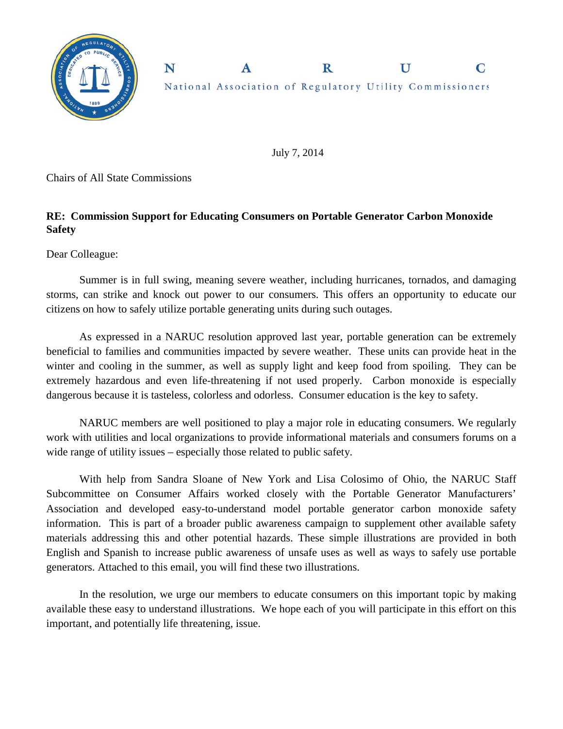

N  $\mathbf R$ National Association of Regulatory Utility Commissioners

 $\mathbf{U}$ 

 $\mathbf C$ 

July 7, 2014

Chairs of All State Commissions

## **RE: Commission Support for Educating Consumers on Portable Generator Carbon Monoxide Safety**

 $\mathbf{A}$ 

Dear Colleague:

Summer is in full swing, meaning severe weather, including hurricanes, tornados, and damaging storms, can strike and knock out power to our consumers. This offers an opportunity to educate our citizens on how to safely utilize portable generating units during such outages.

As expressed in a NARUC resolution approved last year, portable generation can be extremely beneficial to families and communities impacted by severe weather. These units can provide heat in the winter and cooling in the summer, as well as supply light and keep food from spoiling. They can be extremely hazardous and even life-threatening if not used properly. Carbon monoxide is especially dangerous because it is tasteless, colorless and odorless. Consumer education is the key to safety.

NARUC members are well positioned to play a major role in educating consumers. We regularly work with utilities and local organizations to provide informational materials and consumers forums on a wide range of utility issues – especially those related to public safety.

With help from Sandra Sloane of New York and Lisa Colosimo of Ohio, the NARUC Staff Subcommittee on Consumer Affairs worked closely with the Portable Generator Manufacturers' Association and developed easy-to-understand model portable generator carbon monoxide safety information. This is part of a broader public awareness campaign to supplement other available safety materials addressing this and other potential hazards. These simple illustrations are provided in both English and Spanish to increase public awareness of unsafe uses as well as ways to safely use portable generators. Attached to this email, you will find these two illustrations.

In the resolution, we urge our members to educate consumers on this important topic by making available these easy to understand illustrations. We hope each of you will participate in this effort on this important, and potentially life threatening, issue.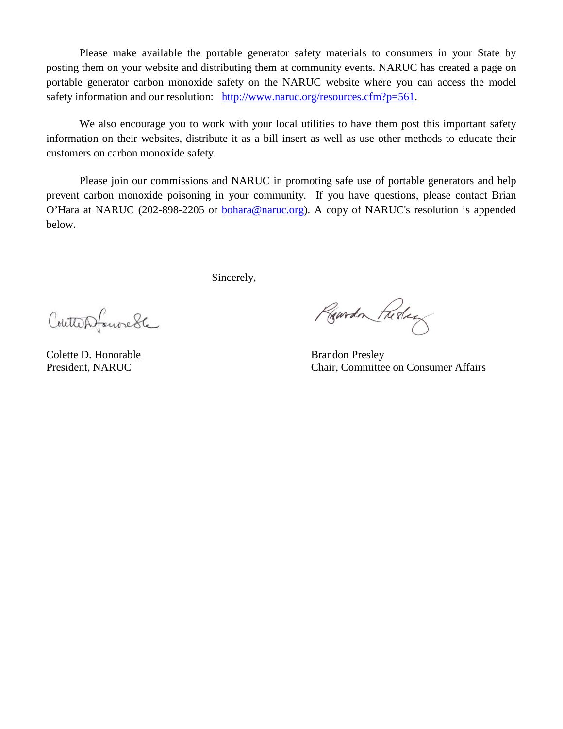Please make available the portable generator safety materials to consumers in your State by posting them on your website and distributing them at community events. NARUC has created a page on portable generator carbon monoxide safety on the NARUC website where you can access the model safety information and our resolution: [http://www.naruc.org/resources.cfm?p=561.](http://www.naruc.org/resources.cfm?p=561)

We also encourage you to work with your local utilities to have them post this important safety information on their websites, distribute it as a bill insert as well as use other methods to educate their customers on carbon monoxide safety.

Please join our commissions and NARUC in promoting safe use of portable generators and help prevent carbon monoxide poisoning in your community. If you have questions, please contact Brian O'Hara at NARUC (202-898-2205 or [bohara@naruc.org\)](mailto:bohara@naruc.org). A copy of NARUC's resolution is appended below.

Sincerely,

Coutterfanorede

Colette D. Honorable Brandon Presley

Rowdon Fuder

President, NARUC Chair, Committee on Consumer Affairs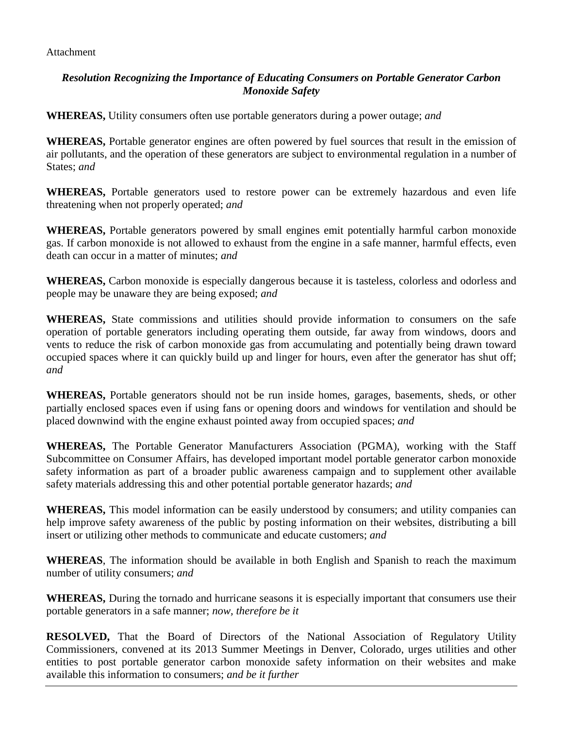Attachment

## *Resolution Recognizing the Importance of Educating Consumers on Portable Generator Carbon Monoxide Safety*

**WHEREAS,** Utility consumers often use portable generators during a power outage; *and*

**WHEREAS,** Portable generator engines are often powered by fuel sources that result in the emission of air pollutants, and the operation of these generators are subject to environmental regulation in a number of States; *and*

**WHEREAS,** Portable generators used to restore power can be extremely hazardous and even life threatening when not properly operated; *and*

**WHEREAS,** Portable generators powered by small engines emit potentially harmful carbon monoxide gas. If carbon monoxide is not allowed to exhaust from the engine in a safe manner, harmful effects, even death can occur in a matter of minutes; *and*

**WHEREAS,** Carbon monoxide is especially dangerous because it is tasteless, colorless and odorless and people may be unaware they are being exposed; *and*

**WHEREAS,** State commissions and utilities should provide information to consumers on the safe operation of portable generators including operating them outside, far away from windows, doors and vents to reduce the risk of carbon monoxide gas from accumulating and potentially being drawn toward occupied spaces where it can quickly build up and linger for hours, even after the generator has shut off; *and*

**WHEREAS,** Portable generators should not be run inside homes, garages, basements, sheds, or other partially enclosed spaces even if using fans or opening doors and windows for ventilation and should be placed downwind with the engine exhaust pointed away from occupied spaces; *and*

**WHEREAS,** The Portable Generator Manufacturers Association (PGMA), working with the Staff Subcommittee on Consumer Affairs, has developed important model portable generator carbon monoxide safety information as part of a broader public awareness campaign and to supplement other available safety materials addressing this and other potential portable generator hazards; *and* 

**WHEREAS,** This model information can be easily understood by consumers; and utility companies can help improve safety awareness of the public by posting information on their websites, distributing a bill insert or utilizing other methods to communicate and educate customers; *and*

**WHEREAS**, The information should be available in both English and Spanish to reach the maximum number of utility consumers; *and*

**WHEREAS,** During the tornado and hurricane seasons it is especially important that consumers use their portable generators in a safe manner; *now, therefore be it*

**RESOLVED,** That the Board of Directors of the National Association of Regulatory Utility Commissioners, convened at its 2013 Summer Meetings in Denver, Colorado, urges utilities and other entities to post portable generator carbon monoxide safety information on their websites and make available this information to consumers; *and be it further*